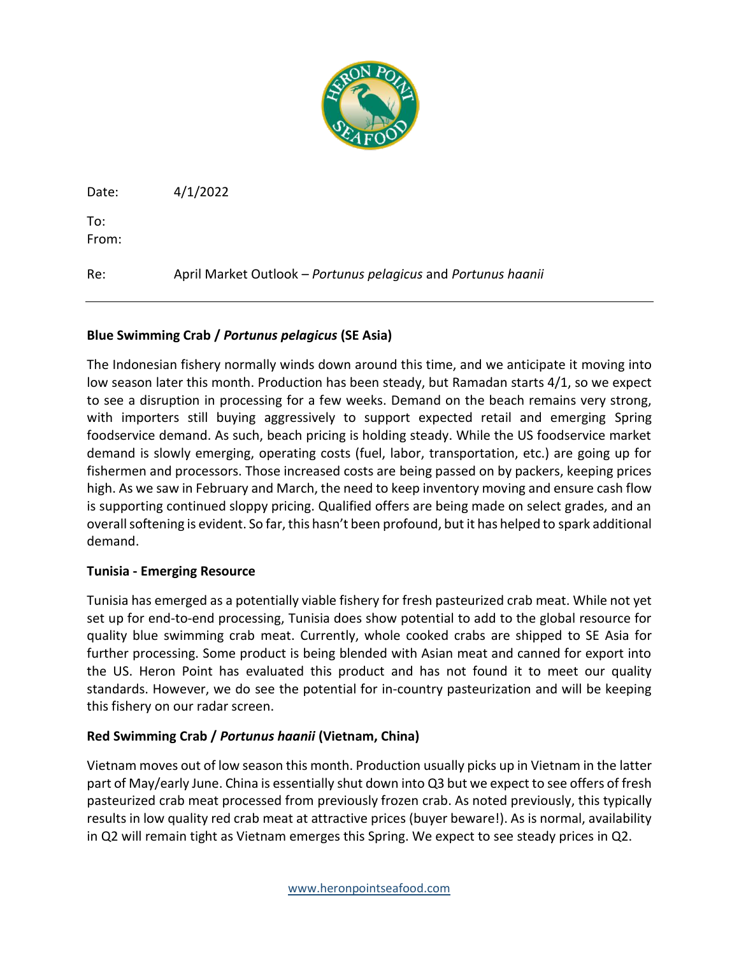

Date: 4/1/2022

To: From:

Re: April Market Outlook – *Portunus pelagicus* and *Portunus haanii*

## **Blue Swimming Crab /** *Portunus pelagicus* **(SE Asia)**

The Indonesian fishery normally winds down around this time, and we anticipate it moving into low season later this month. Production has been steady, but Ramadan starts 4/1, so we expect to see a disruption in processing for a few weeks. Demand on the beach remains very strong, with importers still buying aggressively to support expected retail and emerging Spring foodservice demand. As such, beach pricing is holding steady. While the US foodservice market demand is slowly emerging, operating costs (fuel, labor, transportation, etc.) are going up for fishermen and processors. Those increased costs are being passed on by packers, keeping prices high. As we saw in February and March, the need to keep inventory moving and ensure cash flow is supporting continued sloppy pricing. Qualified offers are being made on select grades, and an overall softening is evident. So far, this hasn't been profound, but it has helped to spark additional demand.

## **Tunisia - Emerging Resource**

Tunisia has emerged as a potentially viable fishery for fresh pasteurized crab meat. While not yet set up for end-to-end processing, Tunisia does show potential to add to the global resource for quality blue swimming crab meat. Currently, whole cooked crabs are shipped to SE Asia for further processing. Some product is being blended with Asian meat and canned for export into the US. Heron Point has evaluated this product and has not found it to meet our quality standards. However, we do see the potential for in-country pasteurization and will be keeping this fishery on our radar screen.

## **Red Swimming Crab /** *Portunus haanii* **(Vietnam, China)**

Vietnam moves out of low season this month. Production usually picks up in Vietnam in the latter part of May/early June. China is essentially shut down into Q3 but we expect to see offers of fresh pasteurized crab meat processed from previously frozen crab. As noted previously, this typically results in low quality red crab meat at attractive prices (buyer beware!). As is normal, availability in Q2 will remain tight as Vietnam emerges this Spring. We expect to see steady prices in Q2.